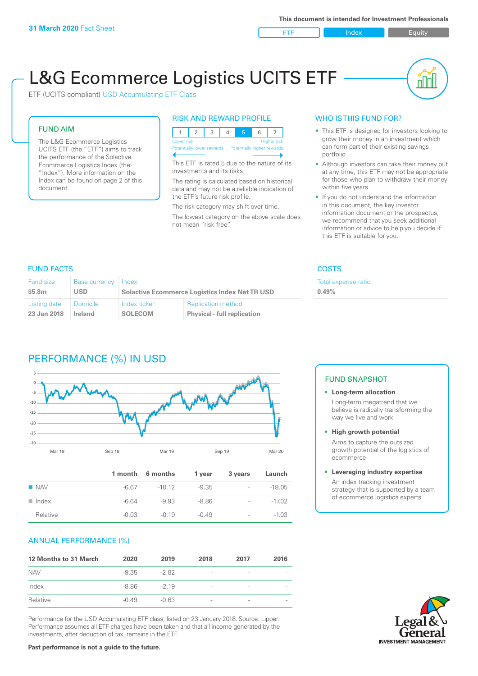**ETF** Index **Index** Equity

nn

# L&G Ecommerce Logistics UCITS ETF

ETF (UCITS compliant) USD Accumulating ETF Class

### FUND AIM

The L&G Ecommerce Logistics UCITS ETF (the "ETF") aims to track the performance of the Solactive Ecommerce Logistics Index (the "Index"). More information on the Index can be found on page 2 of this document.

### RISK AND REWARD PROFILE

|                                                      | Lower risk<br><b>Higher risk</b> |  |  |  |  |  |  |  |  |
|------------------------------------------------------|----------------------------------|--|--|--|--|--|--|--|--|
| Potentially lower rewards Potentially higher rewards |                                  |  |  |  |  |  |  |  |  |
|                                                      |                                  |  |  |  |  |  |  |  |  |

This ETF is rated 5 due to the nature of its investments and its risks.

The rating is calculated based on historical data and may not be a reliable indication of the ETF's future risk profile.

The risk category may shift over time. The lowest category on the above scale does not mean "risk free".

### WHO IS THIS FUND FOR?

- This ETF is designed for investors looking to grow their money in an investment which can form part of their existing savings portfolio
- Although investors can take their money out at any time, this ETF may not be appropriate for those who plan to withdraw their money within five years
- If you do not understand the information in this document, the key investor information document or the prospectus, we recommend that you seek additional information or advice to help you decide if this ETF is suitable for you.

**0.49%**

Total expense ratio

### FUND FACTS COSTS

| <b>Fund size</b><br>\$5.8m | Base currency<br>USD. | Index          | <b>Solactive Ecommerce Logistics Index Net TR USD</b> |  |
|----------------------------|-----------------------|----------------|-------------------------------------------------------|--|
| Listing date               | Domicile              | Index ticker   | <b>Replication method</b>                             |  |
| 23 Jan 2018                | <b>Ireland</b>        | <b>SOLECOM</b> | <b>Physical - full replication</b>                    |  |

## PERFORMANCE (%) IN USD



|                      |         | 1 month 6 months | 1 year  | 3 years                  | Launch   |
|----------------------|---------|------------------|---------|--------------------------|----------|
| $\blacksquare$ NAV   | -6.67   | $-10.12$         | $-9.35$ | $\sim$                   | $-18.05$ |
| $\blacksquare$ Index | -6.64   | -9.93            | $-8.86$ | $\sim$                   | $-17.02$ |
| Relative             | $-0.03$ | $-0.19$          | $-0.49$ | $\overline{\phantom{a}}$ | $-1.03$  |

### ANNUAL PERFORMANCE (%)

| 12 Months to 31 March | 2020    | 2019    | 2018                     | 2017                     | 2016                     |
|-----------------------|---------|---------|--------------------------|--------------------------|--------------------------|
| <b>NAV</b>            | -9.35   | $-282$  | $\overline{\phantom{a}}$ | $\qquad \qquad$          |                          |
| Index                 | -8.86   | $-219$  | $\overline{\phantom{a}}$ | $\overline{\phantom{0}}$ | $\overline{\phantom{0}}$ |
| Relative              | $-0.49$ | $-0.63$ | $\qquad \qquad$          | $\qquad \qquad$          |                          |

Performance for the USD Accumulating ETF class, listed on 23 January 2018. Source: Lipper. Performance assumes all ETF charges have been taken and that all income generated by the investments, after deduction of tax, remains in the ETF.

### FUND SNAPSHOT

**• Long-term allocation** Long-term megatrend that we believe is radically transforming the way we live and work

**• High growth potential**

Aims to capture the outsized growth potential of the logistics of ecommerce

### **• Leveraging industry expertise**

An index tracking investment strategy that is supported by a team of ecommerce logistics experts

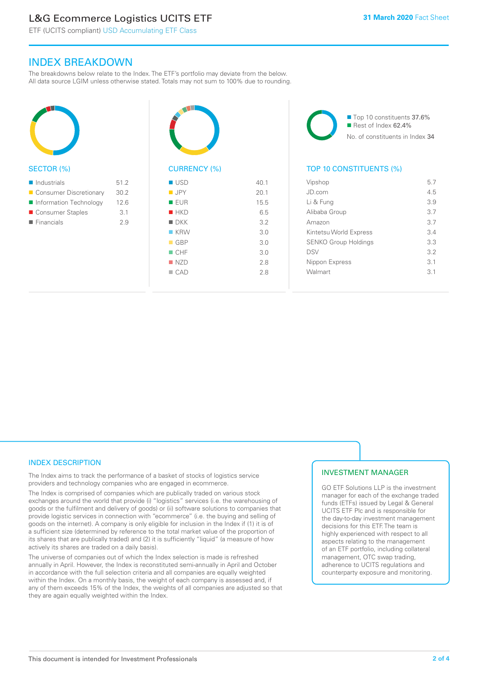# L&G Ecommerce Logistics UCITS ETF

ETF (UCITS compliant) USD Accumulating ETF Class

### INDEX BREAKDOWN

The breakdowns below relate to the Index. The ETF's portfolio may deviate from the below. All data source LGIM unless otherwise stated. Totals may not sum to 100% due to rounding.



### SECTOR (%)

| $\blacksquare$ Industrials | 51.2 |
|----------------------------|------|
| ■ Consumer Discretionary   | 30.2 |
| Information Technology     | 12.6 |
| ■ Consumer Staples         | 3.1  |
| $\blacksquare$ Financials  | 2.9  |
|                            |      |



| ■ USD              | 40.1 |
|--------------------|------|
| <b>JPY</b>         | 20.1 |
| EUR                | 15.5 |
| HKD                | 6.5  |
| $\blacksquare$ DKK | 3.2  |
| $K$ KRW            | 3.0  |
| $\Box$ GBP         | 3.0  |
| $\blacksquare$ CHF | 3.0  |
| NZD                | 2.8  |
| $\Box$ CAD         | 2.8  |
|                    |      |

■ Top 10 constituents 37.6%  $\blacksquare$  Rest of Index 62.4% No. of constituents in Index 34

### TOP 10 CONSTITUENTS (%)

| Vipshop                     | 5.7             |
|-----------------------------|-----------------|
| JD.com                      | 45              |
| Li & Fung                   | 3.9             |
| Alibaba Group               | 37              |
| Amazon                      | 37              |
| Kintetsu World Express      | $\mathcal{R}$ 4 |
| <b>SENKO Group Holdings</b> | 3.3             |
| <b>DSV</b>                  | 3.2             |
| Nippon Express              | $\overline{3}1$ |
| Walmart                     | 31              |
|                             |                 |

### INDEX DESCRIPTION

The Index aims to track the performance of a basket of stocks of logistics service providers and technology companies who are engaged in ecommerce.

The Index is comprised of companies which are publically traded on various stock exchanges around the world that provide (i) "logistics" services (i.e. the warehousing of goods or the fulfilment and delivery of goods) or (ii) software solutions to companies that provide logistic services in connection with "ecommerce" (i.e. the buying and selling of goods on the internet). A company is only eligible for inclusion in the Index if (1) it is of a sufficient size (determined by reference to the total market value of the proportion of its shares that are publically traded) and (2) it is sufficiently "liquid" (a measure of how actively its shares are traded on a daily basis).

The universe of companies out of which the Index selection is made is refreshed annually in April. However, the Index is reconstituted semi-annually in April and October in accordance with the full selection criteria and all companies are equally weighted within the Index. On a monthly basis, the weight of each company is assessed and, if any of them exceeds 15% of the Index, the weights of all companies are adjusted so that they are again equally weighted within the Index.

### INVESTMENT MANAGER

GO ETF Solutions LLP is the investment manager for each of the exchange traded funds (ETFs) issued by Legal & General UCITS ETF Plc and is responsible for the day-to-day investment management decisions for this ETF. The team is highly experienced with respect to all aspects relating to the management of an ETF portfolio, including collateral management, OTC swap trading, adherence to UCITS regulations and counterparty exposure and monitoring.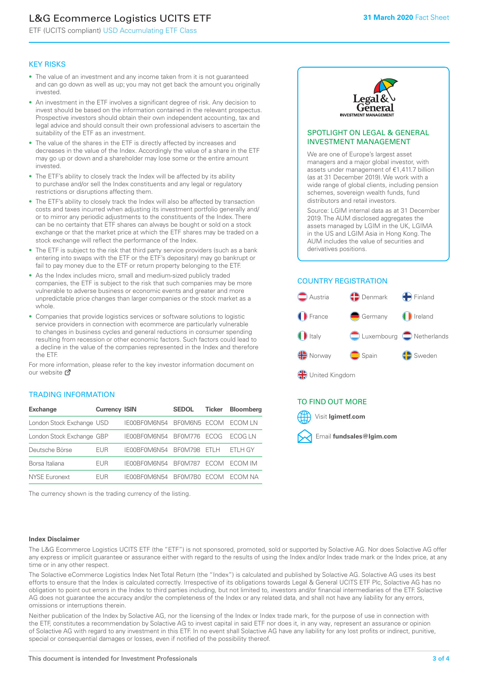# L&G Ecommerce Logistics UCITS ETF

ETF (UCITS compliant) USD Accumulating ETF Class

### KEY RISKS

- The value of an investment and any income taken from it is not guaranteed and can go down as well as up; you may not get back the amount you originally invested.
- An investment in the ETF involves a significant degree of risk. Any decision to invest should be based on the information contained in the relevant prospectus. Prospective investors should obtain their own independent accounting, tax and legal advice and should consult their own professional advisers to ascertain the suitability of the ETF as an investment.
- The value of the shares in the ETF is directly affected by increases and decreases in the value of the Index. Accordingly the value of a share in the ETF may go up or down and a shareholder may lose some or the entire amount invested.
- The ETF's ability to closely track the Index will be affected by its ability to purchase and/or sell the Index constituents and any legal or regulatory restrictions or disruptions affecting them.
- The ETF's ability to closely track the Index will also be affected by transaction costs and taxes incurred when adjusting its investment portfolio generally and/ or to mirror any periodic adjustments to the constituents of the Index. There can be no certainty that ETF shares can always be bought or sold on a stock exchange or that the market price at which the ETF shares may be traded on a stock exchange will reflect the performance of the Index.
- The ETF is subject to the risk that third party service providers (such as a bank entering into swaps with the ETF or the ETF's depositary) may go bankrupt or fail to pay money due to the ETF or return property belonging to the ETF.
- As the Index includes micro, small and medium-sized publicly traded companies, the ETF is subject to the risk that such companies may be more vulnerable to adverse business or economic events and greater and more unpredictable price changes than larger companies or the stock market as a whole.
- Companies that provide logistics services or software solutions to logistic service providers in connection with ecommerce are particularly vulnerable to changes in business cycles and general reductions in consumer spending resulting from recession or other economic factors. Such factors could lead to a decline in the value of the companies represented in the Index and therefore the ETF.

For more information, please refer to the key investor information document on our website Ø

### TRADING INFORMATION

| <b>Exchange</b>           | <b>Currency ISIN</b> |              | <b>SEDOL</b>   | <b>Ticker</b> | Bloomberg |
|---------------------------|----------------------|--------------|----------------|---------------|-----------|
| London Stock Exchange USD |                      | IE00BF0M6N54 | BFOM6N5 ECOM   |               | ECOM LN   |
| London Stock Exchange GBP |                      | IE00BF0M6N54 | <b>BF0M776</b> | <b>FCOG</b>   | FCOG IN   |
| Deutsche Börse            | EUR                  | IE00BF0M6N54 | <b>BF0M798</b> | FTI H         | ETLH GY   |
| Borsa Italiana            | <b>FUR</b>           | IE00BF0M6N54 | <b>BF0M787</b> | <b>FCOM</b>   | ECOM IM   |
| NYSE Euronext             | <b>FUR</b>           | IF00BF0M6N54 | BF0M7B0        | ECOM.         | FCOM NA   |

The currency shown is the trading currency of the listing.



### SPOTLIGHT ON LEGAL & GENERAL INVESTMENT MANAGEMENT

We are one of Europe's largest asset managers and a major global investor, with assets under management of €1,411.7 billion (as at 31 December 2019). We work with a wide range of global clients, including pension schemes, sovereign wealth funds, fund distributors and retail investors.

Source: LGIM internal data as at 31 December 2019. The AUM disclosed aggregates the assets managed by LGIM in the UK, LGIMA in the US and LGIM Asia in Hong Kong. The AUM includes the value of securities and derivatives positions.

### COUNTRY REGISTRATION



### TO FIND OUT MORE



### **Index Disclaimer**

The L&G Ecommerce Logistics UCITS ETF (the "ETF") is not sponsored, promoted, sold or supported by Solactive AG. Nor does Solactive AG offer any express or implicit guarantee or assurance either with regard to the results of using the Index and/or Index trade mark or the Index price, at any time or in any other respect.

The Solactive eCommerce Logistics Index Net Total Return (the "Index") is calculated and published by Solactive AG. Solactive AG uses its best efforts to ensure that the Index is calculated correctly. Irrespective of its obligations towards Legal & General UCITS ETF Plc, Solactive AG has no obligation to point out errors in the Index to third parties including, but not limited to, investors and/or financial intermediaries of the ETF. Solactive AG does not guarantee the accuracy and/or the completeness of the Index or any related data, and shall not have any liability for any errors, omissions or interruptions therein.

Neither publication of the Index by Solactive AG, nor the licensing of the Index or Index trade mark, for the purpose of use in connection with the ETF, constitutes a recommendation by Solactive AG to invest capital in said ETF nor does it, in any way, represent an assurance or opinion of Solactive AG with regard to any investment in this ETF. In no event shall Solactive AG have any liability for any lost profits or indirect, punitive, special or consequential damages or losses, even if notified of the possibility thereof.